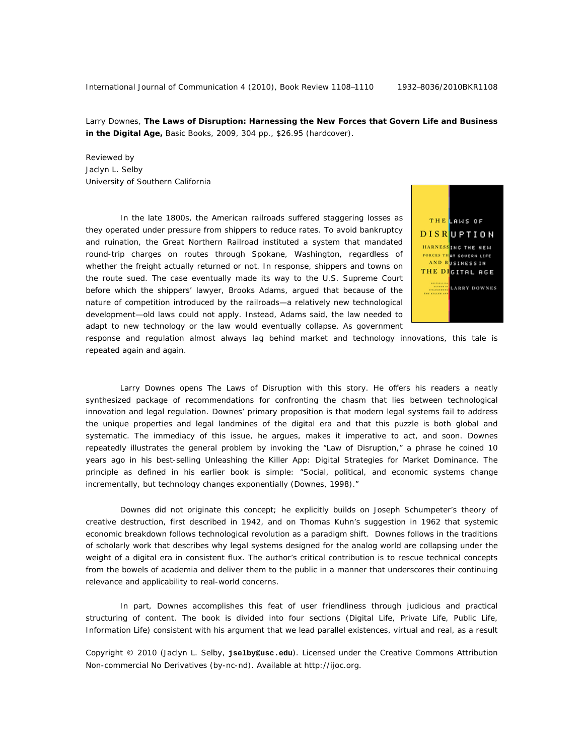Larry Downes, **The Laws of Disruption: Harnessing the New Forces that Govern Life and Business in the Digital Age,** Basic Books, 2009, 304 pp., \$26.95 (hardcover).

Reviewed by Jaclyn L. Selby University of Southern California

In the late 1800s, the American railroads suffered staggering losses as they operated under pressure from shippers to reduce rates. To avoid bankruptcy and ruination, the Great Northern Railroad instituted a system that mandated round-trip charges on routes through Spokane, Washington, regardless of whether the freight actually returned or not. In response, shippers and towns on the route sued. The case eventually made its way to the U.S. Supreme Court before which the shippers' lawyer, Brooks Adams, argued that because of the nature of competition introduced by the railroads—a relatively new technological development—old laws could not apply. Instead, Adams said, the law needed to adapt to new technology or the law would eventually collapse. As government



response and regulation almost always lag behind market and technology innovations, this tale is repeated again and again.

Larry Downes opens *The Laws of Disruption* with this story. He offers his readers a neatly synthesized package of recommendations for confronting the chasm that lies between technological innovation and legal regulation. Downes' primary proposition is that modern legal systems fail to address the unique properties and legal landmines of the digital era and that this puzzle is both global and systematic. The immediacy of this issue, he argues, makes it imperative to act, and soon. Downes repeatedly illustrates the general problem by invoking the "Law of Disruption," a phrase he coined 10 years ago in his best-selling *Unleashing the Killer App: Digital Strategies for Market Dominance.* The principle as defined in his earlier book is simple: "Social, political, and economic systems change incrementally, but technology changes exponentially (Downes, 1998)."

Downes did not originate this concept; he explicitly builds on Joseph Schumpeter's theory of creative destruction, first described in 1942, and on Thomas Kuhn's suggestion in 1962 that systemic economic breakdown follows technological revolution as a paradigm shift. Downes follows in the traditions of scholarly work that describes why legal systems designed for the analog world are collapsing under the weight of a digital era in consistent flux. The author's critical contribution is to rescue technical concepts from the bowels of academia and deliver them to the public in a manner that underscores their continuing relevance and applicability to real-world concerns.

In part, Downes accomplishes this feat of user friendliness through judicious and practical structuring of content. The book is divided into four sections (Digital Life, Private Life, Public Life, Information Life) consistent with his argument that we lead parallel existences, virtual and real, as a result

Copyright © 2010 (Jaclyn L. Selby, **jselby@usc.edu**). Licensed under the Creative Commons Attribution Non-commercial No Derivatives (by-nc-nd). Available at http://ijoc.org.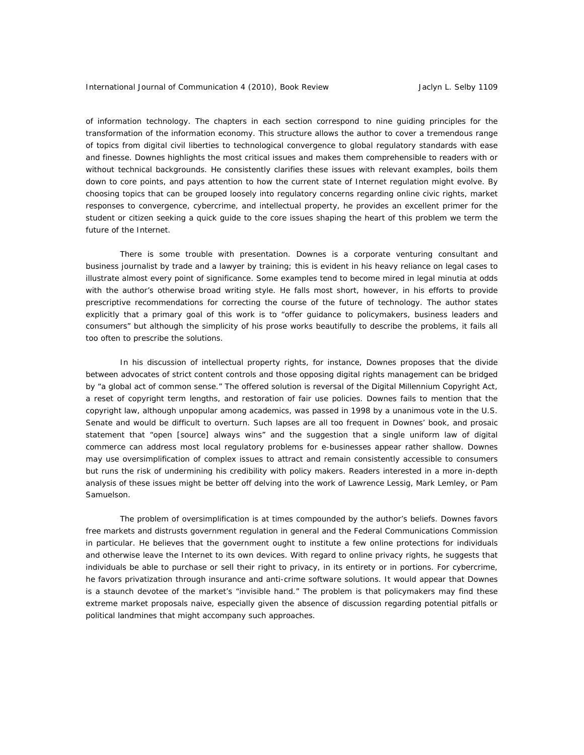of information technology. The chapters in each section correspond to nine guiding principles for the transformation of the information economy. This structure allows the author to cover a tremendous range of topics from digital civil liberties to technological convergence to global regulatory standards with ease and finesse. Downes highlights the most critical issues and makes them comprehensible to readers with or without technical backgrounds. He consistently clarifies these issues with relevant examples, boils them down to core points, and pays attention to how the current state of Internet regulation might evolve. By choosing topics that can be grouped loosely into regulatory concerns regarding online civic rights, market responses to convergence, cybercrime, and intellectual property, he provides an excellent primer for the student or citizen seeking a quick guide to the core issues shaping the heart of this problem we term the future of the Internet.

There is some trouble with presentation. Downes is a corporate venturing consultant and business journalist by trade and a lawyer by training; this is evident in his heavy reliance on legal cases to illustrate almost every point of significance. Some examples tend to become mired in legal minutia at odds with the author's otherwise broad writing style. He falls most short, however, in his efforts to provide prescriptive recommendations for correcting the course of the future of technology. The author states explicitly that a primary goal of this work is to "offer guidance to policymakers, business leaders and consumers" but although the simplicity of his prose works beautifully to describe the problems, it fails all too often to prescribe the solutions.

In his discussion of intellectual property rights, for instance, Downes proposes that the divide between advocates of strict content controls and those opposing digital rights management can be bridged by "a global act of common sense." The offered solution is reversal of the Digital Millennium Copyright Act, a reset of copyright term lengths, and restoration of fair use policies. Downes fails to mention that the copyright law, although unpopular among academics, was passed in 1998 by a unanimous vote in the U.S. Senate and would be difficult to overturn. Such lapses are all too frequent in Downes' book, and prosaic statement that "open [source] always wins" and the suggestion that a single uniform law of digital commerce can address most local regulatory problems for e-businesses appear rather shallow. Downes may use oversimplification of complex issues to attract and remain consistently accessible to consumers but runs the risk of undermining his credibility with policy makers. Readers interested in a more in-depth analysis of these issues might be better off delving into the work of Lawrence Lessig, Mark Lemley, or Pam Samuelson.

The problem of oversimplification is at times compounded by the author's beliefs. Downes favors free markets and distrusts government regulation in general and the Federal Communications Commission in particular. He believes that the government ought to institute a few online protections for individuals and otherwise leave the Internet to its own devices. With regard to online privacy rights, he suggests that individuals be able to purchase or sell their right to privacy, in its entirety or in portions. For cybercrime, he favors privatization through insurance and anti-crime software solutions. It would appear that Downes is a staunch devotee of the market's "invisible hand." The problem is that policymakers may find these extreme market proposals naive, especially given the absence of discussion regarding potential pitfalls or political landmines that might accompany such approaches.